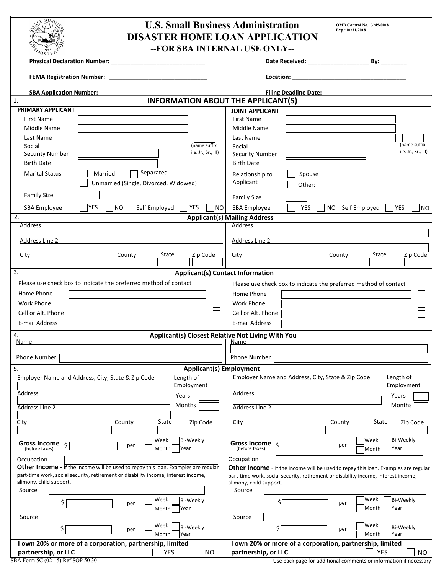| <b>U.S. Small Business Administration</b><br><b>OMB Control No.: 3245-0018</b><br>Exp.: 01/31/2018<br><b>DISASTER HOME LOAN APPLICATION</b> |                                                                                           |  |  |  |  |  |
|---------------------------------------------------------------------------------------------------------------------------------------------|-------------------------------------------------------------------------------------------|--|--|--|--|--|
| -- FOR SBA INTERNAL USE ONLY--                                                                                                              |                                                                                           |  |  |  |  |  |
|                                                                                                                                             |                                                                                           |  |  |  |  |  |
| <b>FEMA Registration Number:</b>                                                                                                            |                                                                                           |  |  |  |  |  |
| <b>SBA Application Number:</b>                                                                                                              | <b>Filing Deadline Date:</b>                                                              |  |  |  |  |  |
| <b>INFORMATION ABOUT THE APPLICANT(S)</b><br>1.                                                                                             |                                                                                           |  |  |  |  |  |
| PRIMARY APPLICANT                                                                                                                           |                                                                                           |  |  |  |  |  |
| <b>First Name</b>                                                                                                                           | <b>JOINT APPLICANT</b><br><b>First Name</b>                                               |  |  |  |  |  |
|                                                                                                                                             |                                                                                           |  |  |  |  |  |
| Middle Name                                                                                                                                 | Middle Name                                                                               |  |  |  |  |  |
| Last Name                                                                                                                                   | Last Name<br>(name suffix                                                                 |  |  |  |  |  |
| (name suffix<br>Social<br>i.e. Jr., Sr., III)                                                                                               | Social<br>i.e. Jr., Sr., III)                                                             |  |  |  |  |  |
| <b>Security Number</b>                                                                                                                      | <b>Security Number</b>                                                                    |  |  |  |  |  |
| <b>Birth Date</b>                                                                                                                           | <b>Birth Date</b>                                                                         |  |  |  |  |  |
| Separated<br>Married<br><b>Marital Status</b>                                                                                               | Spouse<br>Relationship to                                                                 |  |  |  |  |  |
| Unmarried (Single, Divorced, Widowed)                                                                                                       | Applicant<br>Other:                                                                       |  |  |  |  |  |
| <b>Family Size</b>                                                                                                                          |                                                                                           |  |  |  |  |  |
|                                                                                                                                             | <b>Family Size</b>                                                                        |  |  |  |  |  |
| <b>YES</b><br>YES<br>NO<br>Self Employed<br><b>NO</b><br>SBA Employee                                                                       | SBA Employee<br><b>YES</b><br>NO Self Employed<br><b>YES</b><br>NO.                       |  |  |  |  |  |
| 2.                                                                                                                                          | <b>Applicant(s) Mailing Address</b>                                                       |  |  |  |  |  |
| Address                                                                                                                                     | Address                                                                                   |  |  |  |  |  |
|                                                                                                                                             |                                                                                           |  |  |  |  |  |
| <b>Address Line 2</b>                                                                                                                       | <b>Address Line 2</b>                                                                     |  |  |  |  |  |
| State                                                                                                                                       | State                                                                                     |  |  |  |  |  |
| Zip Code<br>City<br>County                                                                                                                  | Zip Code<br>City<br>County                                                                |  |  |  |  |  |
| 3.                                                                                                                                          |                                                                                           |  |  |  |  |  |
| <b>Applicant(s) Contact Information</b>                                                                                                     |                                                                                           |  |  |  |  |  |
| Please use check box to indicate the preferred method of contact                                                                            | Please use check box to indicate the preferred method of contact                          |  |  |  |  |  |
| Home Phone                                                                                                                                  | Home Phone                                                                                |  |  |  |  |  |
| <b>Work Phone</b>                                                                                                                           | <b>Work Phone</b>                                                                         |  |  |  |  |  |
| Cell or Alt. Phone                                                                                                                          | Cell or Alt. Phone                                                                        |  |  |  |  |  |
| E-mail Address                                                                                                                              | E-mail Address                                                                            |  |  |  |  |  |
|                                                                                                                                             |                                                                                           |  |  |  |  |  |
| <b>Applicant(s) Closest Relative Not Living With You</b><br>4.                                                                              |                                                                                           |  |  |  |  |  |
| Name                                                                                                                                        | Name                                                                                      |  |  |  |  |  |
| Phone Number                                                                                                                                | <b>Phone Number</b>                                                                       |  |  |  |  |  |
|                                                                                                                                             |                                                                                           |  |  |  |  |  |
| <b>Applicant(s) Employment</b><br>5.                                                                                                        |                                                                                           |  |  |  |  |  |
| Employer Name and Address, City, State & Zip Code<br>Length of                                                                              | Employer Name and Address, City, State & Zip Code<br>Length of                            |  |  |  |  |  |
| Employment                                                                                                                                  | Employment                                                                                |  |  |  |  |  |
| Address<br>Years                                                                                                                            | Address<br>Years                                                                          |  |  |  |  |  |
| Months<br><b>Address Line 2</b>                                                                                                             | Months<br><b>Address Line 2</b>                                                           |  |  |  |  |  |
|                                                                                                                                             |                                                                                           |  |  |  |  |  |
| <b>State</b><br>City<br>County<br>Zip Code                                                                                                  | <b>State</b><br>City<br>County<br>Zip Code                                                |  |  |  |  |  |
|                                                                                                                                             |                                                                                           |  |  |  |  |  |
| Bi-Weekly<br>Week                                                                                                                           | Bi-Weekly<br>Week                                                                         |  |  |  |  |  |
| Gross Income $\zeta$<br>per<br>(before taxes)<br>Month<br>Year                                                                              | Gross Income<br>per<br>(before taxes)<br>Year<br>Month                                    |  |  |  |  |  |
| Occupation                                                                                                                                  | Occupation                                                                                |  |  |  |  |  |
| Other Income - if the income will be used to repay this loan. Examples are regular                                                          | <b>Other Income</b> - if the income will be used to repay this loan. Examples are regular |  |  |  |  |  |
| part-time work, social security, retirement or disability income, interest income,                                                          | part-time work, social security, retirement or disability income, interest income,        |  |  |  |  |  |
| alimony, child support.                                                                                                                     | alimony, child support.                                                                   |  |  |  |  |  |
| Source                                                                                                                                      | Source                                                                                    |  |  |  |  |  |
| Week<br>Bi-Weekly                                                                                                                           | Week<br>Bi-Weekly                                                                         |  |  |  |  |  |
| \$<br>per<br>Year<br>Month                                                                                                                  | \$l<br>per<br>Month<br>Year                                                               |  |  |  |  |  |
| Source                                                                                                                                      | Source                                                                                    |  |  |  |  |  |
| Week<br>Bi-Weekly                                                                                                                           | Week<br>Bi-Weekly                                                                         |  |  |  |  |  |
| \$<br>per<br>Month<br>Year                                                                                                                  | \$<br>per<br>Month<br>Year                                                                |  |  |  |  |  |
| I own 20% or more of a corporation, partnership, limited                                                                                    | I own 20% or more of a corporation, partnership, limited                                  |  |  |  |  |  |
| <b>YES</b><br>partnership, or LLC<br><b>NO</b>                                                                                              | partnership, or LLC<br>YES<br><b>NO</b>                                                   |  |  |  |  |  |
|                                                                                                                                             |                                                                                           |  |  |  |  |  |

Use back page for additional comments or information if necessary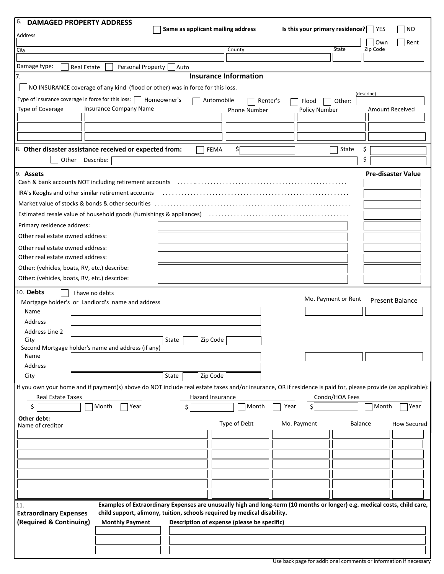| 6. DAMAGED PROPERTY ADDRESS                                                                                                                                                                                   |                                                                                                                                                                                                                                                                                           |                                                                                                                           |                       |                                 |                                                         |                                 |                            |  |
|---------------------------------------------------------------------------------------------------------------------------------------------------------------------------------------------------------------|-------------------------------------------------------------------------------------------------------------------------------------------------------------------------------------------------------------------------------------------------------------------------------------------|---------------------------------------------------------------------------------------------------------------------------|-----------------------|---------------------------------|---------------------------------------------------------|---------------------------------|----------------------------|--|
| <u>Address</u>                                                                                                                                                                                                |                                                                                                                                                                                                                                                                                           | Same as applicant mailing address                                                                                         |                       | Is this your primary residence? |                                                         | YES                             | NO.                        |  |
|                                                                                                                                                                                                               |                                                                                                                                                                                                                                                                                           |                                                                                                                           |                       |                                 |                                                         | Own                             | Rent                       |  |
| City                                                                                                                                                                                                          |                                                                                                                                                                                                                                                                                           |                                                                                                                           | County                |                                 | State                                                   | Zip Code                        |                            |  |
| Damage type:                                                                                                                                                                                                  | <b>Real Estate</b><br>Personal Property                                                                                                                                                                                                                                                   | Auto                                                                                                                      |                       |                                 |                                                         |                                 |                            |  |
| <b>Insurance Information</b><br>7.                                                                                                                                                                            |                                                                                                                                                                                                                                                                                           |                                                                                                                           |                       |                                 |                                                         |                                 |                            |  |
|                                                                                                                                                                                                               | NO INSURANCE coverage of any kind (flood or other) was in force for this loss.                                                                                                                                                                                                            |                                                                                                                           |                       |                                 |                                                         |                                 |                            |  |
| Type of insurance coverage in force for this loss:                                                                                                                                                            |                                                                                                                                                                                                                                                                                           | Homeowner's<br>Automobile                                                                                                 | Renter's              | Flood                           | Other:                                                  | (describe)                      |                            |  |
| Type of Coverage                                                                                                                                                                                              | <b>Insurance Company Name</b>                                                                                                                                                                                                                                                             |                                                                                                                           | <b>Phone Number</b>   | <b>Policy Number</b>            |                                                         | Amount Received                 |                            |  |
|                                                                                                                                                                                                               |                                                                                                                                                                                                                                                                                           |                                                                                                                           |                       |                                 |                                                         |                                 |                            |  |
|                                                                                                                                                                                                               |                                                                                                                                                                                                                                                                                           |                                                                                                                           |                       |                                 |                                                         |                                 |                            |  |
|                                                                                                                                                                                                               |                                                                                                                                                                                                                                                                                           |                                                                                                                           |                       |                                 |                                                         |                                 |                            |  |
|                                                                                                                                                                                                               | 8. Other disaster assistance received or expected from:                                                                                                                                                                                                                                   | <b>FEMA</b>                                                                                                               | \$[                   |                                 | State                                                   | \$                              |                            |  |
|                                                                                                                                                                                                               | Other Describe:                                                                                                                                                                                                                                                                           |                                                                                                                           |                       |                                 |                                                         | \$                              |                            |  |
| 9. Assets                                                                                                                                                                                                     |                                                                                                                                                                                                                                                                                           |                                                                                                                           |                       |                                 |                                                         | <b>Pre-disaster Value</b>       |                            |  |
|                                                                                                                                                                                                               | Cash & bank accounts NOT including retirement accounts (all contained contained accounts) and a contained a co                                                                                                                                                                            |                                                                                                                           |                       |                                 |                                                         |                                 |                            |  |
|                                                                                                                                                                                                               | IRA's Keoghs and other similar retirement accounts                                                                                                                                                                                                                                        |                                                                                                                           |                       |                                 |                                                         |                                 |                            |  |
|                                                                                                                                                                                                               |                                                                                                                                                                                                                                                                                           |                                                                                                                           |                       |                                 |                                                         |                                 |                            |  |
|                                                                                                                                                                                                               | Estimated resale value of household goods (furnishings & appliances) (and contain contained resale value of household goods (furnishings & appliances)                                                                                                                                    |                                                                                                                           |                       |                                 |                                                         |                                 |                            |  |
| Primary residence address:                                                                                                                                                                                    |                                                                                                                                                                                                                                                                                           |                                                                                                                           |                       |                                 |                                                         |                                 |                            |  |
| Other real estate owned address:                                                                                                                                                                              |                                                                                                                                                                                                                                                                                           |                                                                                                                           |                       |                                 |                                                         |                                 |                            |  |
| Other real estate owned address:                                                                                                                                                                              |                                                                                                                                                                                                                                                                                           |                                                                                                                           |                       |                                 |                                                         |                                 |                            |  |
| Other real estate owned address:                                                                                                                                                                              |                                                                                                                                                                                                                                                                                           |                                                                                                                           |                       |                                 |                                                         |                                 |                            |  |
| Other: (vehicles, boats, RV, etc.) describe:                                                                                                                                                                  |                                                                                                                                                                                                                                                                                           |                                                                                                                           |                       |                                 |                                                         |                                 |                            |  |
| Other: (vehicles, boats, RV, etc.) describe:                                                                                                                                                                  |                                                                                                                                                                                                                                                                                           |                                                                                                                           |                       |                                 |                                                         |                                 |                            |  |
| Name<br>Address<br>Address Line 2<br>City<br>Name<br>Address<br>City<br>Real Estate Taxes<br>\$<br>Other debt:<br>Name of creditor                                                                            | Mortgage holder's or Landlord's name and address<br>Second Mortgage holder's name and address (if any)<br>If you own your home and if payment(s) above do NOT include real estate taxes and/or insurance, OR if residence is paid for, please provide (as applicable):<br>Month<br>  Year | State<br>Zip Code<br>Zip Code<br>State<br>Hazard Insurance<br>Ś.                                                          | Month<br>Type of Debt | Year<br>ς<br>Mo. Payment        | Mo. Payment or Rent<br>Condo/HOA Fees<br><b>Balance</b> | <b>Present Balance</b><br>Month | Year<br><b>How Secured</b> |  |
|                                                                                                                                                                                                               |                                                                                                                                                                                                                                                                                           |                                                                                                                           |                       |                                 |                                                         |                                 |                            |  |
|                                                                                                                                                                                                               |                                                                                                                                                                                                                                                                                           |                                                                                                                           |                       |                                 |                                                         |                                 |                            |  |
| 11.                                                                                                                                                                                                           |                                                                                                                                                                                                                                                                                           | Examples of Extraordinary Expenses are unusually high and long-term (10 months or longer) e.g. medical costs, child care, |                       |                                 |                                                         |                                 |                            |  |
| child support, alimony, tuition, schools required by medical disability.<br><b>Extraordinary Expenses</b><br>(Required & Continuing)<br><b>Monthly Payment</b><br>Description of expense (please be specific) |                                                                                                                                                                                                                                                                                           |                                                                                                                           |                       |                                 |                                                         |                                 |                            |  |
|                                                                                                                                                                                                               |                                                                                                                                                                                                                                                                                           |                                                                                                                           |                       |                                 |                                                         |                                 |                            |  |
|                                                                                                                                                                                                               |                                                                                                                                                                                                                                                                                           |                                                                                                                           |                       |                                 |                                                         |                                 |                            |  |
|                                                                                                                                                                                                               |                                                                                                                                                                                                                                                                                           |                                                                                                                           |                       |                                 |                                                         |                                 |                            |  |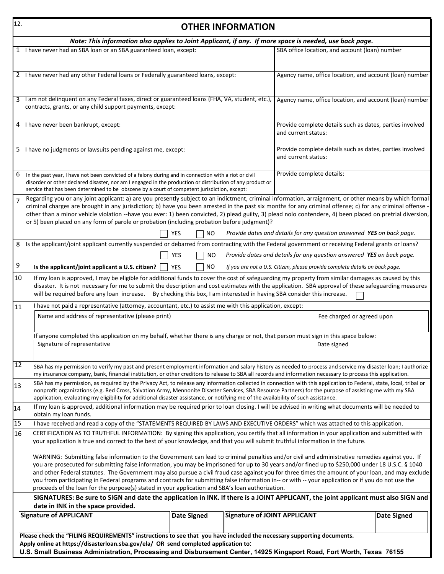| 12.            | <b>OTHER INFORMATION</b>                                                                                                                                                                                                                                                                                                                                                                                                                                                                                                                                                                                                                                                                                              |                         |                              |                                                                                 |                                                                              |             |  |  |  |
|----------------|-----------------------------------------------------------------------------------------------------------------------------------------------------------------------------------------------------------------------------------------------------------------------------------------------------------------------------------------------------------------------------------------------------------------------------------------------------------------------------------------------------------------------------------------------------------------------------------------------------------------------------------------------------------------------------------------------------------------------|-------------------------|------------------------------|---------------------------------------------------------------------------------|------------------------------------------------------------------------------|-------------|--|--|--|
|                | Note: This information also applies to Joint Applicant, if any. If more space is needed, use back page.                                                                                                                                                                                                                                                                                                                                                                                                                                                                                                                                                                                                               |                         |                              |                                                                                 |                                                                              |             |  |  |  |
|                | 1 I have never had an SBA loan or an SBA guaranteed loan, except:                                                                                                                                                                                                                                                                                                                                                                                                                                                                                                                                                                                                                                                     |                         |                              |                                                                                 | SBA office location, and account (loan) number                               |             |  |  |  |
|                | 2 I have never had any other Federal loans or Federally guaranteed loans, except:                                                                                                                                                                                                                                                                                                                                                                                                                                                                                                                                                                                                                                     |                         |                              |                                                                                 | Agency name, office location, and account (loan) number                      |             |  |  |  |
|                | 3 I am not delinquent on any Federal taxes, direct or guaranteed loans (FHA, VA, student, etc.),<br>contracts, grants, or any child support payments, except:                                                                                                                                                                                                                                                                                                                                                                                                                                                                                                                                                         |                         |                              | Agency name, office location, and account (loan) number                         |                                                                              |             |  |  |  |
|                | 4 I have never been bankrupt, except:                                                                                                                                                                                                                                                                                                                                                                                                                                                                                                                                                                                                                                                                                 |                         |                              | Provide complete details such as dates, parties involved<br>and current status: |                                                                              |             |  |  |  |
|                | 5 I have no judgments or lawsuits pending against me, except:                                                                                                                                                                                                                                                                                                                                                                                                                                                                                                                                                                                                                                                         |                         |                              | Provide complete details such as dates, parties involved<br>and current status: |                                                                              |             |  |  |  |
| 6              | In the past year, I have not been convicted of a felony during and in connection with a riot or civil<br>disorder or other declared disaster, nor am I engaged in the production or distribution of any product or<br>service that has been determined to be obscene by a court of competent jurisdiction, except:                                                                                                                                                                                                                                                                                                                                                                                                    |                         |                              | Provide complete details:                                                       |                                                                              |             |  |  |  |
| $\overline{7}$ | Regarding you or any joint applicant: a) are you presently subject to an indictment, criminal information, arraignment, or other means by which formal<br>criminal charges are brought in any jurisdiction; b) have you been arrested in the past six months for any criminal offense; c) for any criminal offense -<br>other than a minor vehicle violation --have you ever: 1) been convicted, 2) plead guilty, 3) plead nolo contendere, 4) been placed on pretrial diversion,<br>or 5) been placed on any form of parole or probation (including probation before judgment)?                                                                                                                                      |                         |                              |                                                                                 |                                                                              |             |  |  |  |
|                |                                                                                                                                                                                                                                                                                                                                                                                                                                                                                                                                                                                                                                                                                                                       | YES<br>NO.              |                              |                                                                                 | Provide dates and details for any question answered YES on back page.        |             |  |  |  |
|                | 8 Is the applicant/joint applicant currently suspended or debarred from contracting with the Federal government or receiving Federal grants or loans?                                                                                                                                                                                                                                                                                                                                                                                                                                                                                                                                                                 |                         |                              |                                                                                 |                                                                              |             |  |  |  |
|                |                                                                                                                                                                                                                                                                                                                                                                                                                                                                                                                                                                                                                                                                                                                       | <b>YES</b><br><b>NO</b> |                              |                                                                                 | Provide dates and details for any question answered YES on back page.        |             |  |  |  |
| $\overline{9}$ | Is the applicant/joint applicant a U.S. citizen?                                                                                                                                                                                                                                                                                                                                                                                                                                                                                                                                                                                                                                                                      | NO.<br><b>YES</b>       |                              |                                                                                 | If you are not a U.S. Citizen, please provide complete details on back page. |             |  |  |  |
| 10             | If my loan is approved, I may be eligible for additional funds to cover the cost of safeguarding my property from similar damages as caused by this<br>disaster. It is not necessary for me to submit the description and cost estimates with the application. SBA approval of these safeguarding measures<br>will be required before any loan increase. By checking this box, I am interested in having SBA consider this increase.                                                                                                                                                                                                                                                                                  |                         |                              |                                                                                 |                                                                              |             |  |  |  |
| 11             | I have not paid a representative (attorney, accountant, etc.) to assist me with this application, except:                                                                                                                                                                                                                                                                                                                                                                                                                                                                                                                                                                                                             |                         |                              |                                                                                 |                                                                              |             |  |  |  |
|                | Name and address of representative (please print)<br>Fee charged or agreed upon                                                                                                                                                                                                                                                                                                                                                                                                                                                                                                                                                                                                                                       |                         |                              |                                                                                 |                                                                              |             |  |  |  |
|                | If anyone completed this application on my behalf, whether there is any charge or not, that person must sign in this space below:                                                                                                                                                                                                                                                                                                                                                                                                                                                                                                                                                                                     |                         |                              |                                                                                 |                                                                              |             |  |  |  |
|                | Signature of representative                                                                                                                                                                                                                                                                                                                                                                                                                                                                                                                                                                                                                                                                                           |                         |                              |                                                                                 | Date signed                                                                  |             |  |  |  |
| 12             | SBA has my permission to verify my past and present employment information and salary history as needed to process and service my disaster loan; I authorize<br>my insurance company, bank, financial institution, or other creditors to release to SBA all records and information necessary to process this application.                                                                                                                                                                                                                                                                                                                                                                                            |                         |                              |                                                                                 |                                                                              |             |  |  |  |
| 13             | SBA has my permission, as required by the Privacy Act, to release any information collected in connection with this application to Federal, state, local, tribal or<br>nonprofit organizations (e.g. Red Cross, Salvation Army, Mennonite Disaster Services, SBA Resource Partners) for the purpose of assisting me with my SBA<br>application, evaluating my eligibility for additional disaster assistance, or notifying me of the availability of such assistance.                                                                                                                                                                                                                                                 |                         |                              |                                                                                 |                                                                              |             |  |  |  |
| 14             | If my loan is approved, additional information may be required prior to loan closing. I will be advised in writing what documents will be needed to<br>obtain my loan funds.                                                                                                                                                                                                                                                                                                                                                                                                                                                                                                                                          |                         |                              |                                                                                 |                                                                              |             |  |  |  |
| 15             | I have received and read a copy of the "STATEMENTS REQUIRED BY LAWS AND EXECUTIVE ORDERS" which was attached to this application.                                                                                                                                                                                                                                                                                                                                                                                                                                                                                                                                                                                     |                         |                              |                                                                                 |                                                                              |             |  |  |  |
| 16             | CERTIFICATION AS TO TRUTHFUL INFORMATION: By signing this application, you certify that all information in your application and submitted with<br>your application is true and correct to the best of your knowledge, and that you will submit truthful information in the future.                                                                                                                                                                                                                                                                                                                                                                                                                                    |                         |                              |                                                                                 |                                                                              |             |  |  |  |
|                | WARNING: Submitting false information to the Government can lead to criminal penalties and/or civil and administrative remedies against you. If<br>you are prosecuted for submitting false information, you may be imprisoned for up to 30 years and/or fined up to \$250,000 under 18 U.S.C. § 1040<br>and other Federal statutes. The Government may also pursue a civil fraud case against you for three times the amount of your loan, and may exclude<br>you from participating in Federal programs and contracts for submitting false information in-- or with -- your application or if you do not use the<br>proceeds of the loan for the purpose(s) stated in your application and SBA's loan authorization. |                         |                              |                                                                                 |                                                                              |             |  |  |  |
|                | SIGNATURES: Be sure to SIGN and date the application in INK. If there is a JOINT APPLICANT, the joint applicant must also SIGN and                                                                                                                                                                                                                                                                                                                                                                                                                                                                                                                                                                                    |                         |                              |                                                                                 |                                                                              |             |  |  |  |
|                | date in INK in the space provided.<br><b>Signature of APPLICANT</b>                                                                                                                                                                                                                                                                                                                                                                                                                                                                                                                                                                                                                                                   | <b>Date Signed</b>      | Signature of JOINT APPLICANT |                                                                                 |                                                                              | Date Signed |  |  |  |
|                |                                                                                                                                                                                                                                                                                                                                                                                                                                                                                                                                                                                                                                                                                                                       |                         |                              |                                                                                 |                                                                              |             |  |  |  |
|                | Please check the "FILING REQUIREMENTS" instructions to see that you have included the necessary supporting documents.<br>Apply online at https://disasterloan.sba.gov/ela/ OR send completed application to:<br>U.S. Small Business Administration, Processing and Disbursement Center, 14925 Kingsport Road, Fort Worth, Texas 76155                                                                                                                                                                                                                                                                                                                                                                                 |                         |                              |                                                                                 |                                                                              |             |  |  |  |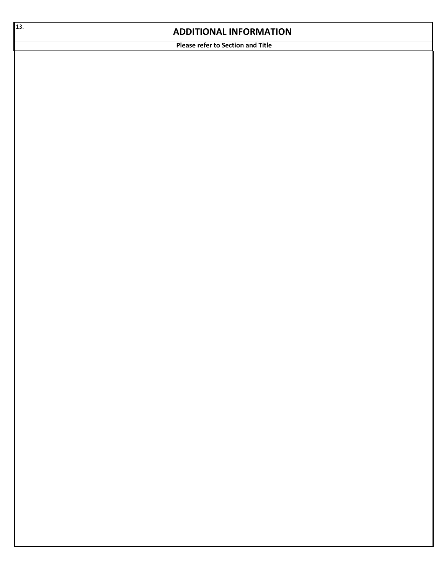## **ADDITIONAL INFORMATION**

**Please refer to Section and Title**

13.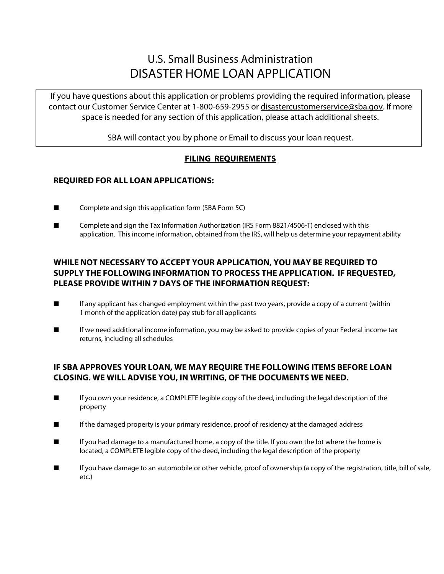# U.S. Small Business Administration DISASTER HOME LOAN APPLICATION

If you have questions about this application or problems providing the required information, please contact our Customer Service Center at 1-800-659-2955 or disastercustomerservice@sba.gov. If more space is needed for any section of this application, please attach additional sheets.

SBA will contact you by phone or Email to discuss your loan request.

## j **FILING REQUIREMENTS**

# **REQUIRED FOR ALL LOAN APPLICATIONS:**

- Complete and sign this application form (SBA Form 5C)
- Complete and sign the Tax Information Authorization (IRS Form 8821/4506-T) enclosed with this application. This income information, obtained from the IRS, will help us determine your repayment ability

# **WHILE NOT NECESSARY TO ACCEPT YOUR APPLICATION, YOU MAY BE REQUIRED TO SUPPLY THE FOLLOWING INFORMATION TO PROCESS THE APPLICATION. IF REQUESTED, PLEASE PROVIDE WITHIN 7 DAYS OF THE INFORMATION REQUEST:**

- If any applicant has changed employment within the past two years, provide a copy of a current (within 1 month of the application date) pay stub for all applicants
- If we need additional income information, you may be asked to provide copies of your Federal income tax returns, including all schedules

# **IF SBA APPROVES YOUR LOAN, WE MAY REQUIRE THE FOLLOWING ITEMS BEFORE LOAN CLOSING. WE WILL ADVISE YOU, IN WRITING, OF THE DOCUMENTS WE NEED.**

- If you own your residence, a COMPLETE legible copy of the deed, including the legal description of the property
- If the damaged property is your primary residence, proof of residency at the damaged address
- If you had damage to a manufactured home, a copy of the title. If you own the lot where the home is located, a COMPLETE legible copy of the deed, including the legal description of the property
- If you have damage to an automobile or other vehicle, proof of ownership (a copy of the registration, title, bill of sale, etc.)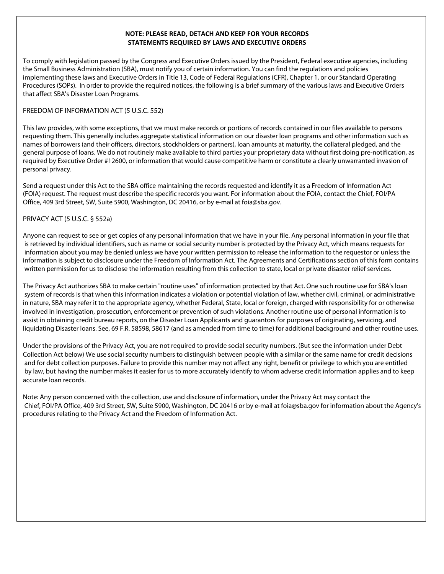#### **NOTE: PLEASE READ, DETACH AND KEEP FOR YOUR RECORDS STATEMENTS REQUIRED BY LAWS AND EXECUTIVE ORDERS**

To comply with legislation passed by the Congress and Executive Orders issued by the President, Federal executive agencies, including the Small Business Administration (SBA), must notify you of certain information. You can find the regulations and policies implementing these laws and Executive Orders in Title 13, Code of Federal Regulations (CFR), Chapter 1, or our Standard Operating Procedures (SOPs). In order to provide the required notices, the following is a brief summary of the various laws and Executive Orders that affect SBA's Disaster Loan Programs.

#### FREEDOM OF INFORMATION ACT (5 U.S.C. 552)

This law provides, with some exceptions, that we must make records or portions of records contained in our files available to persons requesting them. This generally includes aggregate statistical information on our disaster loan programs and other information such as names of borrowers (and their officers, directors, stockholders or partners), loan amounts at maturity, the collateral pledged, and the general purpose of loans. We do not routinely make available to third parties your proprietary data without first doing pre-notification, as required by Executive Order #12600, or information that would cause competitive harm or constitute a clearly unwarranted invasion of personal privacy.

Send a request under this Act to the SBA office maintaining the records requested and identify it as a Freedom of Information Act (FOIA) request. The request must describe the specific records you want. For information about the FOIA, contact the Chief, FOI/PA Office, 409 3rd Street, SW, Suite 5900, Washington, DC 20416, or by e-mail at foia@sba.gov.

### PRIVACY ACT (5 U.S.C. § 552a)

Anyone can request to see or get copies of any personal information that we have in your file. Any personal information in your file that is retrieved by individual identifiers, such as name or social security number is protected by the Privacy Act, which means requests for information about you may be denied unless we have your written permission to release the information to the requestor or unless the information is subject to disclosure under the Freedom of Information Act. The Agreements and Certifications section of this form contains written permission for us to disclose the information resulting from this collection to state, local or private disaster relief services.

The Privacy Act authorizes SBA to make certain "routine uses" of information protected by that Act. One such routine use for SBA's loan system of records is that when this information indicates a violation or potential violation of law, whether civil, criminal, or administrative in nature, SBA may refer it to the appropriate agency, whether Federal, State, local or foreign, charged with responsibility for or otherwise involved in investigation, prosecution, enforcement or prevention of such violations. Another routine use of personal information is to assist in obtaining credit bureau reports, on the Disaster Loan Applicants and guarantors for purposes of originating, servicing, and liquidating Disaster loans. See, 69 F.R. 58598, 58617 (and as amended from time to time) for additional background and other routine uses.

Under the provisions of the Privacy Act, you are not required to provide social security numbers. (But see the information under Debt Collection Act below) We use social security numbers to distinguish between people with a similar or the same name for credit decisions and for debt collection purposes. Failure to provide this number may not affect any right, benefit or privilege to which you are entitled by law, but having the number makes it easier for us to more accurately identify to whom adverse credit information applies and to keep accurate loan records.

Note: Any person concerned with the collection, use and disclosure of information, under the Privacy Act may contact the Chief, FOI/PA Office, 409 3rd Street, SW, Suite 5900, Washington, DC 20416 or by e-mail at [foia@sba.gov](mailto:foia@sba.gov) for information about the Agency's procedures relating to the Privacy Act and the Freedom of Information Act.